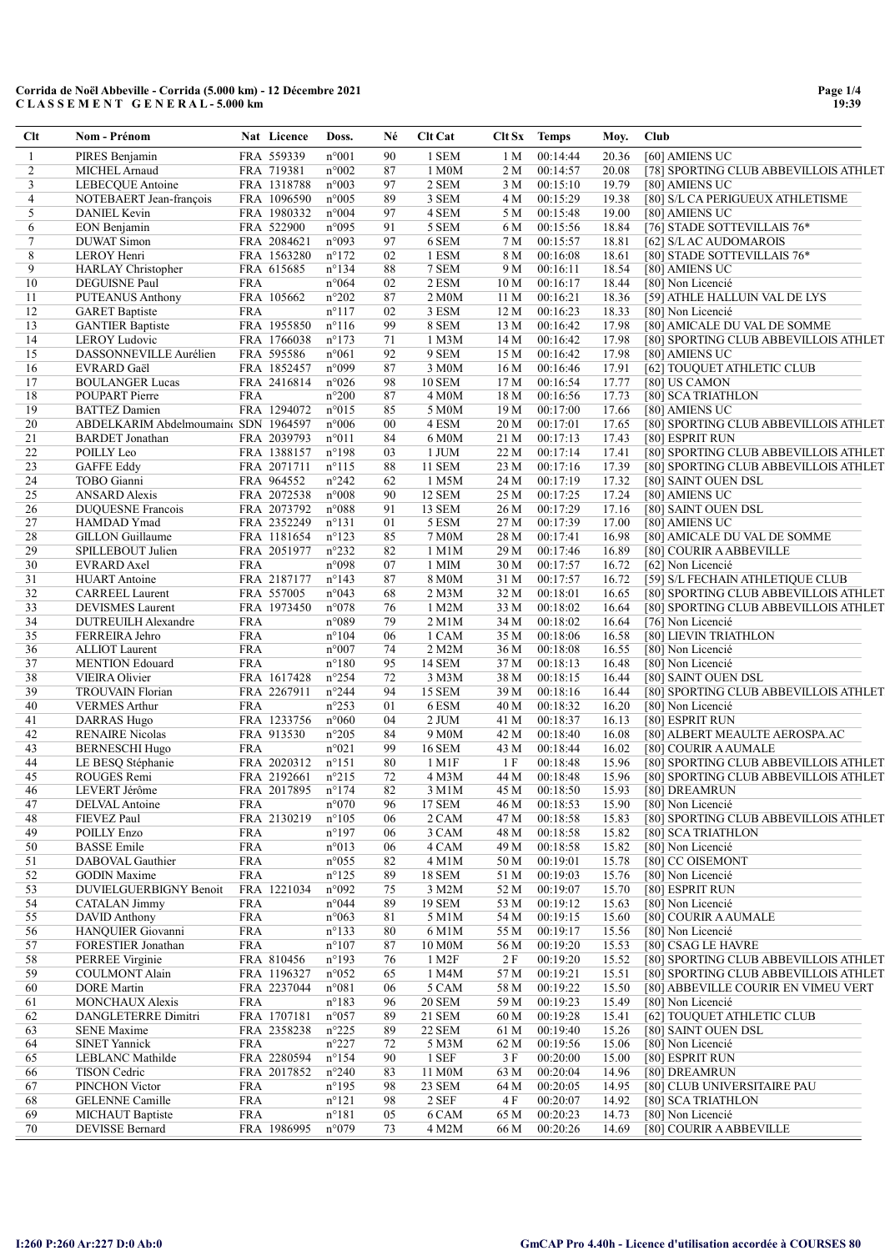| Clt      | Nom - Prénom                            |                          | Nat Licence               | Doss.                            | Né       | <b>Clt Cat</b>     |                 | Clt Sx Temps         | Moy.           | Club                                                                           |
|----------|-----------------------------------------|--------------------------|---------------------------|----------------------------------|----------|--------------------|-----------------|----------------------|----------------|--------------------------------------------------------------------------------|
| 1        | PIRES Benjamin                          |                          | FRA 559339                | $n^{\circ}001$                   | 90       | 1 SEM              | 1 M             | 00:14:44             | 20.36          | [60] AMIENS UC                                                                 |
| 2        | MICHEL Arnaud                           |                          | FRA 719381                | $n^{\circ}002$                   | 87       | 1 M0M              | 2 M             | 00:14:57             | 20.08          | [78] SPORTING CLUB ABBEVILLOIS ATHLET                                          |
| 3        | LEBECQUE Antoine                        |                          | FRA 1318788               | n°003                            | 97       | 2 SEM              | 3 M             | 00:15:10             | 19.79          | [80] AMIENS UC                                                                 |
| 4        | NOTEBAERT Jean-françois                 |                          | FRA 1096590               | $n^{\circ}005$                   | 89       | 3 SEM              | 4 M             | 00:15:29             | 19.38          | [80] S/L CA PERIGUEUX ATHLETISME                                               |
| 5        | DANIEL Kevin                            |                          | FRA 1980332               | $n^{\circ}004$                   | 97       | 4 SEM              | 5 M             | 00:15:48             | 19.00          | [80] AMIENS UC                                                                 |
| 6<br>7   | EON Benjamin<br><b>DUWAT Simon</b>      |                          | FRA 522900<br>FRA 2084621 | n°095<br>n°093                   | 91<br>97 | 5 SEM<br>6 SEM     | 6 M<br>7 M      | 00:15:56<br>00:15:57 | 18.84<br>18.81 | [76] STADE SOTTEVILLAIS 76*<br>[62] S/L AC AUDOMAROIS                          |
| 8        | LEROY Henri                             |                          | FRA 1563280               | $n^{\circ}172$                   | 02       | 1 ESM              | 8 M             | 00:16:08             | 18.61          | [80] STADE SOTTEVILLAIS 76*                                                    |
| 9        | <b>HARLAY</b> Christopher               |                          | FRA 615685                | $n^{\circ}134$                   | 88       | 7 SEM              | 9 M             | 00:16:11             | 18.54          | [80] AMIENS UC                                                                 |
| 10       | <b>DEGUISNE Paul</b>                    | <b>FRA</b>               |                           | n°064                            | 02       | 2 ESM              | 10 <sub>M</sub> | 00:16:17             | 18.44          | [80] Non Licencié                                                              |
| 11       | <b>PUTEANUS Anthony</b>                 |                          | FRA 105662                | $n^{\circ}202$                   | 87       | 2 M0M              | 11 M            | 00:16:21             | 18.36          | [59] ATHLE HALLUIN VAL DE LYS                                                  |
| 12       | <b>GARET</b> Baptiste                   | <b>FRA</b>               |                           | $n^{\circ}117$                   | 02       | 3 ESM              | 12 M            | 00:16:23             | 18.33          | [80] Non Licencié                                                              |
| 13       | <b>GANTIER Baptiste</b>                 |                          | FRA 1955850               | $n^{\circ}116$                   | 99       | 8 SEM              | 13 M            | 00:16:42             | 17.98          | [80] AMICALE DU VAL DE SOMME                                                   |
| 14       | <b>LEROY Ludovic</b>                    |                          | FRA 1766038               | $n^{\circ}173$                   | 71       | 1 M3M              | 14 M            | 00:16:42             | 17.98          | [80] SPORTING CLUB ABBEVILLOIS ATHLET                                          |
| 15       | DASSONNEVILLE Aurélien                  |                          | FRA 595586                | $n^{\circ}061$                   | 92       | 9 SEM              | 15 M            | 00:16:42             | 17.98          | [80] AMIENS UC                                                                 |
| 16       | EVRARD Gaël                             |                          | FRA 1852457               | n°099                            | 87       | 3 M0M              | 16 M            | 00:16:46             | 17.91          | [62] TOUQUET ATHLETIC CLUB                                                     |
| 17       | <b>BOULANGER Lucas</b>                  |                          | FRA 2416814               | $n^{\circ}026$                   | 98       | <b>10 SEM</b>      | 17 <sub>M</sub> | 00:16:54             | 17.77          | [80] US CAMON                                                                  |
| 18       | POUPART Pierre                          | <b>FRA</b>               |                           | $n^{\circ}200$                   | 87       | 4 M0M              | 18 M            | 00:16:56             | 17.73          | [80] SCA TRIATHLON                                                             |
| 19       | <b>BATTEZ</b> Damien                    |                          | FRA 1294072               | n°015                            | 85       | 5 M0M              | 19 M            | 00:17:00             | 17.66          | [80] AMIENS UC                                                                 |
| 20       | ABDELKARIM Abdelmoumain( SDN 1964597    |                          |                           | $n^{\circ}006$                   | 00       | 4 ESM              | 20 M            | 00:17:01             | 17.65          | [80] SPORTING CLUB ABBEVILLOIS ATHLET                                          |
| 21       | <b>BARDET</b> Jonathan                  |                          | FRA 2039793               | $n^{\circ}011$                   | 84       | 6 M0M              | 21 M            | 00:17:13             | 17.43          | [80] ESPRIT RUN                                                                |
| 22       | POILLY Leo                              |                          | FRA 1388157               | $n^{\circ}198$                   | 03       | 1 JUM              | 22 M            | 00:17:14             | 17.41          | [80] SPORTING CLUB ABBEVILLOIS ATHLET                                          |
| 23       | <b>GAFFE Eddy</b>                       |                          | FRA 2071711               | $n^{\circ}115$                   | 88       | <b>11 SEM</b>      | 23 M            | 00:17:16             | 17.39          | [80] SPORTING CLUB ABBEVILLOIS ATHLET                                          |
| 24       | TOBO Gianni                             |                          | FRA 964552                | $n^{\circ}242$                   | 62       | 1 M5M              | 24 M            | 00:17:19             | 17.32          | [80] SAINT OUEN DSL                                                            |
| 25       | <b>ANSARD</b> Alexis                    |                          | FRA 2072538               | $n^{\circ}008$                   | 90       | 12 SEM             | 25 M            | 00:17:25             | 17.24          | [80] AMIENS UC                                                                 |
| 26       | <b>DUQUESNE</b> Francois                |                          | FRA 2073792               | n°088                            | 91       | 13 SEM             | 26 M            | 00:17:29             | 17.16          | [80] SAINT OUEN DSL                                                            |
| 27       | HAMDAD Ymad                             |                          | FRA 2352249               | $n^{\circ}131$                   | 01       | 5 ESM              | 27 M            | 00:17:39             | 17.00          | [80] AMIENS UC                                                                 |
| 28       | <b>GILLON</b> Guillaume                 |                          | FRA 1181654               | $n^{\circ}123$                   | 85       | 7 M0M              | 28 M            | 00:17:41             | 16.98          | [80] AMICALE DU VAL DE SOMME                                                   |
| 29       | SPILLEBOUT Julien                       |                          | FRA 2051977               | $n^{\circ}232$                   | 82       | 1 M1M              | 29 M            | 00:17:46             | 16.89          | [80] COURIR A ABBEVILLE                                                        |
| 30       | <b>EVRARD</b> Axel                      | <b>FRA</b>               |                           | n°098                            | 07       | 1 MIM              | 30 M            | 00:17:57             | 16.72          | [62] Non Licencié                                                              |
| 31       | <b>HUART</b> Antoine                    |                          | FRA 2187177               | $n^{\circ}143$                   | 87       | 8 M0M              | 31 M            | 00:17:57             | 16.72          | [59] S/L FECHAIN ATHLETIQUE CLUB                                               |
| 32       | <b>CARREEL Laurent</b>                  |                          | FRA 557005                | n°043                            | 68       | 2 M <sub>3</sub> M | 32 M            | 00:18:01             | 16.65          | [80] SPORTING CLUB ABBEVILLOIS ATHLET                                          |
| 33       | <b>DEVISMES</b> Laurent                 |                          | FRA 1973450               | n°078                            | 76       | 1 M2M              | 33 M            | 00:18:02             | 16.64          | [80] SPORTING CLUB ABBEVILLOIS ATHLET                                          |
| 34       | DUTREUILH Alexandre                     | <b>FRA</b>               |                           | n°089                            | 79       | 2 M1M              | 34 M            | 00:18:02             | 16.64          | [76] Non Licencié                                                              |
| 35       | FERREIRA Jehro                          | <b>FRA</b>               |                           | $n^{\circ}104$                   | 06       | 1 CAM              | 35 M            | 00:18:06             | 16.58          | [80] LIEVIN TRIATHLON                                                          |
| 36       | <b>ALLIOT</b> Laurent                   | <b>FRA</b>               |                           | n°007                            | 74       | 2 M2M              | 36 M            | 00:18:08             | 16.55          | [80] Non Licencié                                                              |
| 37       | <b>MENTION</b> Edouard                  | <b>FRA</b>               |                           | $n^{\circ}180$                   | 95       | 14 SEM             | 37 M            | 00:18:13             | 16.48          | [80] Non Licencié                                                              |
| 38       | <b>VIEIRA Olivier</b>                   |                          | FRA 1617428               | $n^{\circ}254$                   | 72       | 3 M3M              | 38 M            | 00:18:15             | 16.44          | [80] SAINT OUEN DSL                                                            |
| 39       | <b>TROUVAIN Florian</b>                 |                          | FRA 2267911               | $n^{\circ}244$                   | 94       | 15 SEM             | 39 M            | 00:18:16             | 16.44          | [80] SPORTING CLUB ABBEVILLOIS ATHLET                                          |
| 40       | <b>VERMES Arthur</b>                    | <b>FRA</b>               |                           | n°253                            | 01       | 6 ESM              | 40 M            | 00:18:32             | 16.20          | [80] Non Licencié                                                              |
| 41       | <b>DARRAS Hugo</b>                      |                          | FRA 1233756               | $n^{\circ}060$                   | 04       | $2$ JUM            | 41 M            | 00:18:37             | 16.13          | [80] ESPRIT RUN                                                                |
| 42       | <b>RENAIRE Nicolas</b>                  |                          | FRA 913530                | n°205                            | 84       | 9 M0M              | 42 M            | 00:18:40             | 16.08          | [80] ALBERT MEAULTE AEROSPA.AC                                                 |
| 43       | <b>BERNESCHI Hugo</b>                   | <b>FRA</b>               |                           | n°021                            | 99       | <b>16 SEM</b>      | 43 M            | 00:18:44             | 16.02          | [80] COURIR A AUMALE                                                           |
| 44       | LE BESQ Stéphanie                       |                          | FRA 2020312               | $n^{\circ}151$                   | 80       | 1 M1F              | 1 F             | 00:18:48             | 15.96          | [80] SPORTING CLUB ABBEVILLOIS ATHLET                                          |
| 45       | ROUGES Remi                             |                          | FRA 2192661               | $n^{\circ}215$                   | 72       | 4 M3M              | 44 M            | 00:18:48             | 15.96          | [80] SPORTING CLUB ABBEVILLOIS ATHLET                                          |
| 46       | LEVERT Jérôme                           |                          | FRA 2017895               | $n^{\circ}174$                   | 82       | 3 M1M              | 45 M            | 00:18:50             | 15.93          | [80] DREAMRUN                                                                  |
| 47       | <b>DELVAL</b> Antoine                   | <b>FRA</b>               |                           | n°070                            | 96       | <b>17 SEM</b>      | 46 M            | 00:18:53             | 15.90          | [80] Non Licencié                                                              |
| 48       | FIEVEZ Paul                             |                          | FRA 2130219               | $n^{\circ}105$                   | 06       | 2 CAM              | 47 M            | 00:18:58             | 15.83          | [80] SPORTING CLUB ABBEVILLOIS ATHLET                                          |
| 49       | <b>POILLY Enzo</b>                      | <b>FRA</b>               |                           | $n^{\circ}197$                   | 06       | 3 CAM              | 48 M            | 00:18:58             | 15.82          | [80] SCA TRIATHLON                                                             |
| 50       | <b>BASSE</b> Emile                      | <b>FRA</b>               |                           | n°013                            | 06       | 4 CAM              | 49 M            | 00:18:58             | 15.82          | [80] Non Licencié                                                              |
| 51       | DABOVAL Gauthier                        | <b>FRA</b>               |                           | $n^{\circ}055$                   | 82       | 4 M1M              | 50 M            | 00:19:01             | 15.78          | [80] CC OISEMONT                                                               |
| 52       | <b>GODIN</b> Maxime                     | <b>FRA</b>               |                           | $n^{\circ}125$                   | 89       | <b>18 SEM</b>      | 51 M            | 00:19:03             | 15.76          | [80] Non Licencié                                                              |
| 53       | DUVIELGUERBIGNY Benoit                  |                          | FRA 1221034               | n°092                            | 75       | 3 M2M              | 52 M            | 00:19:07             | 15.70          | [80] ESPRIT RUN<br>[80] Non Licencié                                           |
| 54       | CATALAN Jimmy                           | <b>FRA</b>               |                           | n°044                            | 89       | 19 SEM             | 53 M            | 00:19:12             | 15.63          |                                                                                |
| 55       | DAVID Anthony                           | <b>FRA</b>               |                           | n°063                            | 81       | 5 M1M              | 54 M            | 00:19:15             | 15.60          | [80] COURIR A AUMALE                                                           |
| 56<br>57 | HANQUIER Giovanni<br>FORESTIER Jonathan | <b>FRA</b><br><b>FRA</b> |                           | $n^{\circ}133$<br>$n^{\circ}107$ | 80<br>87 | 6 M1M              | 55 M            | 00:19:17             | 15.56          | [80] Non Licencié<br>[80] CSAG LE HAVRE                                        |
| 58       | PERREE Virginie                         |                          |                           |                                  | 76       | 10 M0M             | 56 M            | 00:19:20             | 15.53          |                                                                                |
| 59       | <b>COULMONT Alain</b>                   |                          | FRA 810456<br>FRA 1196327 | $n^{\circ}193$<br>n°052          |          | 1 M2F<br>1 M4M     | 2F              | 00:19:20<br>00:19:21 | 15.52          | [80] SPORTING CLUB ABBEVILLOIS ATHLET<br>[80] SPORTING CLUB ABBEVILLOIS ATHLET |
| 60       | <b>DORE</b> Martin                      |                          | FRA 2237044               | $n^{\circ}081$                   | 65<br>06 | 5 CAM              | 57 M<br>58 M    | 00:19:22             | 15.51<br>15.50 | [80] ABBEVILLE COURIR EN VIMEU VERT                                            |
| 61       | <b>MONCHAUX Alexis</b>                  | <b>FRA</b>               |                           | $n^{\circ}183$                   | 96       | <b>20 SEM</b>      | 59 M            | 00:19:23             | 15.49          | [80] Non Licencié                                                              |
| 62       | <b>DANGLETERRE Dimitri</b>              |                          | FRA 1707181               | $n^{\circ}057$                   | 89       | 21 SEM             | 60 M            | 00:19:28             | 15.41          | [62] TOUQUET ATHLETIC CLUB                                                     |
| 63       | <b>SENE Maxime</b>                      |                          | FRA 2358238               | $n^{\circ}225$                   | 89       | <b>22 SEM</b>      | 61 M            | 00:19:40             | 15.26          | [80] SAINT OUEN DSL                                                            |
| 64       | <b>SINET Yannick</b>                    | <b>FRA</b>               |                           | $n^{\circ}227$                   | 72       | 5 M3M              | 62 M            | 00:19:56             | 15.06          | [80] Non Licencié                                                              |
| 65       | LEBLANC Mathilde                        |                          | FRA 2280594               | $n^{\circ}154$                   | 90       | 1 SEF              | 3 F             | 00:20:00             | 15.00          | [80] ESPRIT RUN                                                                |
| 66       | TISON Cedric                            |                          | FRA 2017852               | $n^{\circ}240$                   | 83       | 11 M0M             | 63 M            | 00:20:04             | 14.96          | [80] DREAMRUN                                                                  |
| 67       | PINCHON Victor                          | <b>FRA</b>               |                           | $n^{\circ}195$                   | 98       | 23 SEM             | 64 M            | 00:20:05             | 14.95          | [80] CLUB UNIVERSITAIRE PAU                                                    |
| 68       | <b>GELENNE</b> Camille                  | <b>FRA</b>               |                           | $n^{\circ}121$                   | 98       | 2 SEF              | 4F              | 00:20:07             | 14.92          | [80] SCA TRIATHLON                                                             |
| 69       | MICHAUT Baptiste                        | <b>FRA</b>               |                           | $n^{\circ}181$                   | 05       | 6 CAM              | 65 M            | 00:20:23             | 14.73          | [80] Non Licencié                                                              |
| 70       | <b>DEVISSE Bernard</b>                  |                          | FRA 1986995               | n°079                            | 73       | 4 M2M              | 66 M            | 00:20:26             | 14.69          | [80] COURIR A ABBEVILLE                                                        |
|          |                                         |                          |                           |                                  |          |                    |                 |                      |                |                                                                                |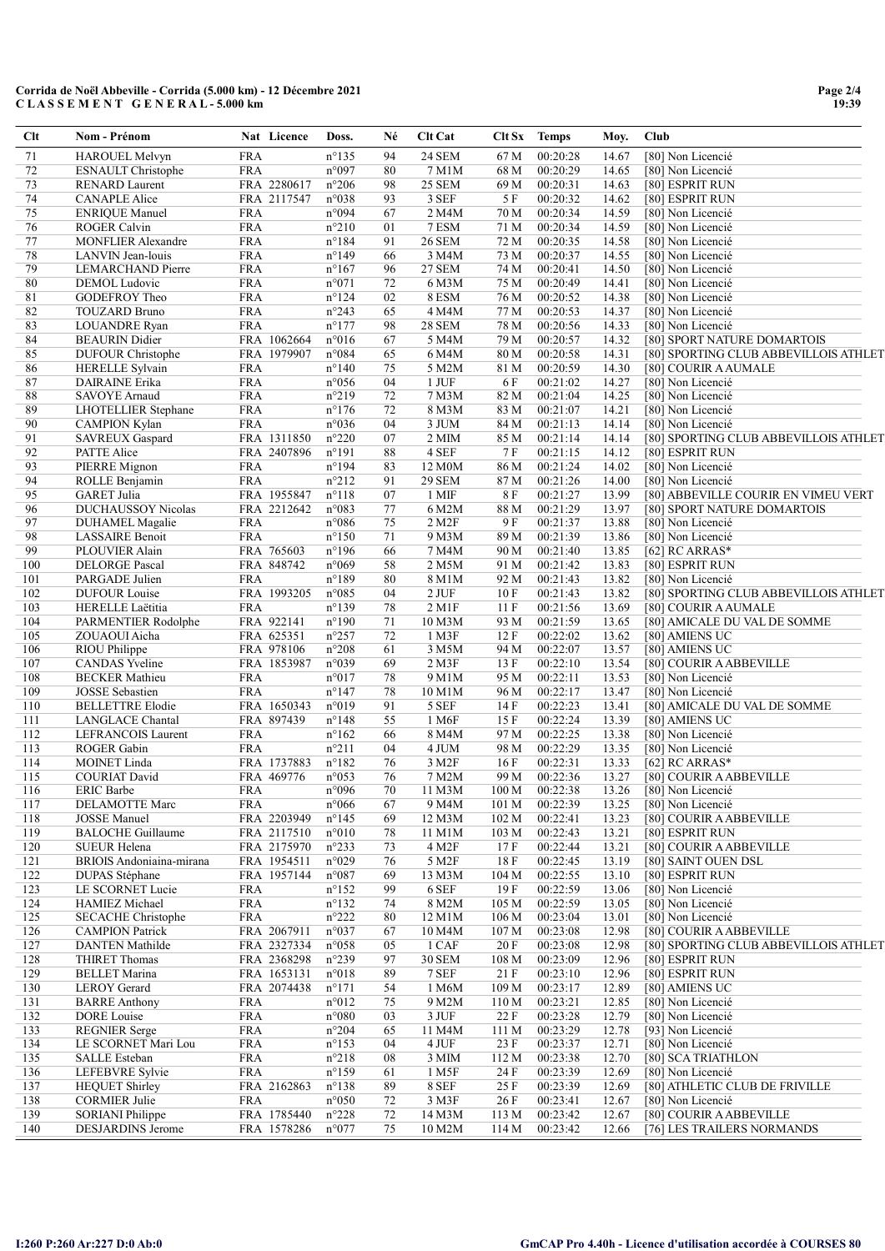| Clt          | Nom - Prénom                           |                          | Nat Licence | Doss.                            | Né       | <b>Clt Cat</b>         |                   | Clt Sx Temps         | Moy.           | Club                                   |
|--------------|----------------------------------------|--------------------------|-------------|----------------------------------|----------|------------------------|-------------------|----------------------|----------------|----------------------------------------|
| 71           | <b>HAROUEL Melvyn</b>                  | <b>FRA</b>               |             | $n^{\circ}135$                   | 94       | <b>24 SEM</b>          | 67 M              | 00:20:28             | 14.67          | [80] Non Licencié                      |
| 72           | <b>ESNAULT Christophe</b>              | <b>FRA</b>               |             | n°097                            | 80       | 7 M1M                  | 68 M              | 00:20:29             | 14.65          | [80] Non Licencié                      |
| 73           | <b>RENARD Laurent</b>                  |                          | FRA 2280617 | $n^{\circ}206$                   | 98       | <b>25 SEM</b>          | 69 M              | 00:20:31             | 14.63          | [80] ESPRIT RUN                        |
| 74           | <b>CANAPLE Alice</b>                   |                          | FRA 2117547 | n°038                            | 93       | 3 SEF                  | 5F                | 00:20:32             | 14.62          | [80] ESPRIT RUN                        |
| 75           | <b>ENRIQUE Manuel</b>                  | <b>FRA</b>               |             | n°094                            | 67       | 2 M4M                  | 70 M              | 00:20:34             | 14.59          | [80] Non Licencié                      |
| 76           | <b>ROGER Calvin</b>                    | <b>FRA</b>               |             | $n^{\circ}210$                   | 01       | 7 ESM                  | 71 M              | 00:20:34             | 14.59          | [80] Non Licencié                      |
| 77           | <b>MONFLIER Alexandre</b>              | <b>FRA</b>               |             | $n^{\circ}184$                   | 91<br>66 | <b>26 SEM</b>          | 72 M              | 00:20:35             | 14.58          | [80] Non Licencié                      |
| $78\,$<br>79 | LANVIN Jean-louis<br>LEMARCHAND Pierre | <b>FRA</b><br><b>FRA</b> |             | $n^{\circ}149$<br>$n^{\circ}167$ | 96       | 3 M4M<br><b>27 SEM</b> | 73 M<br>74 M      | 00:20:37<br>00:20:41 | 14.55<br>14.50 | [80] Non Licencié<br>[80] Non Licencié |
| 80           | DEMOL Ludovic                          | <b>FRA</b>               |             | $n^{\circ}071$                   | 72       | 6 M3M                  | 75 M              | 00:20:49             | 14.41          | [80] Non Licencié                      |
| 81           | GODEFROY Theo                          | <b>FRA</b>               |             | $n^{\circ}124$                   | 02       | 8 ESM                  | 76 M              | 00:20:52             | 14.38          | [80] Non Licencié                      |
| 82           | <b>TOUZARD Bruno</b>                   | <b>FRA</b>               |             | n°243                            | 65       | 4 M4M                  | 77 M              | 00:20:53             | 14.37          | [80] Non Licencié                      |
| 83           | <b>LOUANDRE</b> Ryan                   | <b>FRA</b>               |             | $n^{\circ}177$                   | 98       | <b>28 SEM</b>          | 78 M              | 00:20:56             | 14.33          | [80] Non Licencié                      |
| 84           | <b>BEAURIN</b> Didier                  |                          | FRA 1062664 | $n^{\circ}016$                   | 67       | 5 M4M                  | 79 M              | 00:20:57             | 14.32          | [80] SPORT NATURE DOMARTOIS            |
| 85           | <b>DUFOUR</b> Christophe               |                          | FRA 1979907 | $n^{\circ}084$                   | 65       | 6 M4M                  | 80 M              | 00:20:58             | 14.31          | [80] SPORTING CLUB ABBEVILLOIS ATHLET  |
| 86           | <b>HERELLE Sylvain</b>                 | <b>FRA</b>               |             | $n^{\circ}140$                   | 75       | 5 M2M                  | 81 M              | 00:20:59             | 14.30          | [80] COURIR A AUMALE                   |
| 87           | DAIRAINE Erika                         | <b>FRA</b>               |             | $n^{\circ}056$                   | 04       | $1$ JUF                | 6 F               | 00:21:02             | 14.27          | [80] Non Licencié                      |
| 88           | SAVOYE Arnaud                          | <b>FRA</b>               |             | $n^{\circ}219$                   | 72       | 7 M3M                  | 82 M              | 00:21:04             | 14.25          | [80] Non Licencié                      |
| 89           | <b>LHOTELLIER</b> Stephane             | <b>FRA</b>               |             | $n^{\circ}176$                   | 72       | 8 M3M                  | 83 M              | 00:21:07             | 14.21          | [80] Non Licencié                      |
| 90           | <b>CAMPION Kylan</b>                   | <b>FRA</b>               |             | n°036                            | 04       | 3 JUM                  | 84 M              | 00:21:13             | 14.14          | [80] Non Licencié                      |
| 91           | <b>SAVREUX Gaspard</b>                 |                          | FRA 1311850 | $n^{\circ}220$                   | 07       | 2 MIM                  | 85 M              | 00:21:14             | 14.14          | [80] SPORTING CLUB ABBEVILLOIS ATHLET  |
| 92           | PATTE Alice                            |                          | FRA 2407896 | $n^{\circ}191$                   | 88       | 4 SEF                  | 7 F               | 00:21:15             | 14.12          | [80] ESPRIT RUN                        |
| 93           | PIERRE Mignon                          | <b>FRA</b>               |             | $n^{\circ}194$                   | 83       | 12 M0M                 | 86 M              | 00:21:24             | 14.02          | [80] Non Licencié                      |
| 94           | ROLLE Benjamin                         | <b>FRA</b>               |             | $n^{\circ}212$                   | 91       | <b>29 SEM</b>          | 87 M              | 00:21:26             | 14.00          | [80] Non Licencié                      |
| 95           | <b>GARET Julia</b>                     |                          | FRA 1955847 | $n^{\circ}118$                   | 07       | 1 MIF                  | 8F                | 00:21:27             | 13.99          | [80] ABBEVILLE COURIR EN VIMEU VERT    |
| 96           | <b>DUCHAUSSOY Nicolas</b>              |                          | FRA 2212642 | n°083                            | 77       | 6 M2M                  | 88 M              | 00:21:29             | 13.97          | [80] SPORT NATURE DOMARTOIS            |
| 97           | DUHAMEL Magalie                        | <b>FRA</b>               |             | $n^{\circ}086$                   | 75       | 2 M2F                  | 9F                | 00:21:37             | 13.88          | [80] Non Licencié                      |
| 98           | LASSAIRE Benoit                        | <b>FRA</b>               |             | $n^{\circ}150$                   | 71       | 9 M3M                  | 89 M              | 00:21:39             | 13.86          | [80] Non Licencié                      |
| 99           | PLOUVIER Alain                         |                          | FRA 765603  | $n^{\circ}196$                   | 66       | 7 M4M                  | 90 M              | 00:21:40             | 13.85          | [62] RC ARRAS*                         |
| 100          | <b>DELORGE Pascal</b>                  |                          | FRA 848742  | n°069                            | 58       | 2 M5M                  | 91 M              | 00:21:42             | 13.83          | [80] ESPRIT RUN                        |
| 101          | PARGADE Julien                         | <b>FRA</b>               |             | $n^{\circ}189$                   | 80       | 8 M1M                  | 92 M              | 00:21:43             | 13.82          | [80] Non Licencié                      |
| 102          | <b>DUFOUR Louise</b>                   |                          | FRA 1993205 | $n^{\circ}085$                   | 04       | $2$ JUF                | 10F               | 00:21:43             | 13.82          | [80] SPORTING CLUB ABBEVILLOIS ATHLET  |
| 103          | HERELLE Laëtitia                       | <b>FRA</b>               |             | $n^{\circ}139$                   | 78       | $2$ M1F                | 11F               | 00:21:56             | 13.69          | [80] COURIR A AUMALE                   |
| 104          | PARMENTIER Rodolphe                    |                          | FRA 922141  | $n^{\circ}190$                   | 71       | 10 M3M                 | 93 M              | 00:21:59             | 13.65          | [80] AMICALE DU VAL DE SOMME           |
| 105          | ZOUAOUI Aicha                          |                          | FRA 625351  | $n^{\circ}257$                   | 72       | 1 M3F                  | 12 F              | 00:22:02             | 13.62          | [80] AMIENS UC                         |
| 106          | RIOU Philippe                          |                          | FRA 978106  | $n^{\circ}208$                   | 61       | 3 M5M                  | 94 M              | 00:22:07             | 13.57          | [80] AMIENS UC                         |
| 107          | <b>CANDAS</b> Yveline                  |                          | FRA 1853987 | n°039                            | 69       | 2 M3F                  | 13 F              | 00:22:10             | 13.54          | [80] COURIR A ABBEVILLE                |
| 108          | <b>BECKER</b> Mathieu                  | <b>FRA</b>               |             | $n^{\circ}017$                   | 78       | 9 M1M                  | 95 M              | 00:22:11             | 13.53          | [80] Non Licencié                      |
| 109          | <b>JOSSE</b> Sebastien                 | <b>FRA</b>               |             | $n^{\circ}147$                   | 78       | 10 M1M                 | 96 M              | 00:22:17             | 13.47          | [80] Non Licencié                      |
| 110          | <b>BELLETTRE Elodie</b>                |                          | FRA 1650343 | n°019                            | 91       | 5 SEF                  | 14 F              | 00:22:23             | 13.41          | [80] AMICALE DU VAL DE SOMME           |
| 111          | LANGLACE Chantal                       |                          | FRA 897439  | $n^{\circ}148$                   | 55       | 1 M6F                  | 15F               | 00:22:24             | 13.39          | [80] AMIENS UC                         |
| 112          | LEFRANCOIS Laurent                     | <b>FRA</b>               |             | $n^{\circ}162$                   | 66       | 8 M4M                  | 97 M              | 00:22:25             | 13.38          | [80] Non Licencié                      |
| 113          | ROGER Gabin                            | <b>FRA</b>               |             | $n^{\circ}211$                   | 04       | 4 JUM                  | 98 M              | 00:22:29             | 13.35          | [80] Non Licencié                      |
| 114          | MOINET Linda                           |                          | FRA 1737883 | $n^{\circ}182$                   | 76       | 3 M2F                  | 16F               | 00:22:31             | 13.33          | [62] RC ARRAS*                         |
| 115          | <b>COURIAT David</b>                   |                          | FRA 469776  | n°053                            | 76       | 7 M2M                  | 99 M              | 00:22:36             | 13.27          | [80] COURIR A ABBEVILLE                |
| 116          | <b>ERIC Barbe</b>                      | <b>FRA</b>               |             | n°096                            | $70\,$   | 11 M3M                 | $100\,\mathrm{M}$ | 00:22:38             | 13.26          | [80] Non Licencié                      |
| 117          | DELAMOTTE Marc                         | <b>FRA</b>               |             | $n^{\circ}066$                   | 67       | 9 M4M                  | 101 M             | 00:22:39             | 13.25          | [80] Non Licencié                      |
| 118          | <b>JOSSE</b> Manuel                    |                          | FRA 2203949 | $n^{\circ}145$                   | 69       | 12 M3M                 | 102 M             | 00:22:41             | 13.23          | [80] COURIR A ABBEVILLE                |
| 119          | <b>BALOCHE Guillaume</b>               |                          | FRA 2117510 | $n^{\circ}010$                   | 78       | 11 M1M                 | 103 M             | 00:22:43             | 13.21          | [80] ESPRIT RUN                        |
| 120          | SUEUR Helena                           |                          | FRA 2175970 | $n^{\circ}233$                   | 73       | 4 M2F                  | 17F               | 00:22:44             | 13.21          | [80] COURIR A ABBEVILLE                |
| 121          | BRIOIS Andoniaina-mirana               |                          | FRA 1954511 | n°029                            | 76       | 5 M2F                  | 18 F              | 00:22:45             | 13.19          | [80] SAINT OUEN DSL                    |
| 122          | <b>DUPAS</b> Stéphane                  |                          | FRA 1957144 | $n^{\circ}087$                   | 69       | 13 M3M                 | 104 M             | 00:22:55             | 13.10          | [80] ESPRIT RUN                        |
| 123          | LE SCORNET Lucie                       | <b>FRA</b>               |             | $n^{\circ}152$                   | 99       | 6 SEF                  | 19 F              | 00:22:59             | 13.06          | [80] Non Licencié                      |
| 124          | HAMIEZ Michael                         | <b>FRA</b>               |             | $n^{\circ}132$                   | 74       | 8 M2M                  | 105 M             | 00:22:59             | 13.05          | [80] Non Licencié                      |
| 125          | <b>SECACHE Christophe</b>              | <b>FRA</b>               |             | $n^{\circ}222$                   | 80       | 12 M1M                 | 106 <sub>M</sub>  | 00:23:04             | 13.01          | [80] Non Licencié                      |
| 126          | <b>CAMPION Patrick</b>                 |                          | FRA 2067911 | $n^{\circ}037$                   | 67       | 10 M4M                 | 107 M             | 00:23:08             | 12.98          | [80] COURIR A ABBEVILLE                |
| 127          | <b>DANTEN</b> Mathilde                 |                          | FRA 2327334 | $n^{\circ}058$                   | 05       | 1 CAF                  | 20 F              | 00:23:08             | 12.98          | [80] SPORTING CLUB ABBEVILLOIS ATHLET  |
| 128          | <b>THIRET Thomas</b>                   |                          | FRA 2368298 | $n^{\circ}239$                   | 97       | 30 SEM                 | 108 M             | 00:23:09             | 12.96          | [80] ESPRIT RUN                        |
| 129          | <b>BELLET</b> Marina                   |                          | FRA 1653131 | $n^{\circ}018$                   | 89       | 7 SEF                  | 21 F              | 00:23:10             | 12.96          | [80] ESPRIT RUN                        |
| 130          | <b>LEROY</b> Gerard                    |                          | FRA 2074438 | $n^{\circ}171$                   | 54       | 1 M6M                  | 109 <sub>M</sub>  | 00:23:17             | 12.89          | [80] AMIENS UC                         |
| 131          | <b>BARRE Anthony</b>                   | <b>FRA</b>               |             | $n^{\circ}012$                   | 75       | 9 M2M                  | 110 M             | 00:23:21             | 12.85          | [80] Non Licencié                      |
| 132          | <b>DORE</b> Louise                     | <b>FRA</b>               |             | $n^{\circ}080$                   | 03       | 3 JUF                  | 22 F              | 00:23:28             | 12.79          | [80] Non Licencié                      |
| 133          | <b>REGNIER</b> Serge                   | <b>FRA</b>               |             | $n^{\circ}204$                   | 65       | 11 M4M                 | 111 M             | 00:23:29             | 12.78          | [93] Non Licencié                      |
| 134          | LE SCORNET Mari Lou                    | <b>FRA</b>               |             | $n^{\circ}153$                   | 04       | 4 JUF                  | 23 F              | 00:23:37             | 12.71          | [80] Non Licencié                      |
| 135          | <b>SALLE</b> Esteban                   | <b>FRA</b>               |             | $n^{\circ}218$                   | 08       | 3 MIM                  | 112 M             | 00:23:38             | 12.70          | [80] SCA TRIATHLON                     |
| 136          | LEFEBVRE Sylvie                        | <b>FRA</b>               |             | $n^{\circ}159$                   | 61       | 1 M <sub>5F</sub>      | 24 F              | 00:23:39             | 12.69          | [80] Non Licencié                      |
| 137          | <b>HEQUET Shirley</b>                  |                          | FRA 2162863 | $n^{\circ}138$                   | 89       | 8 SEF                  | 25 F              | 00:23:39             | 12.69          | [80] ATHLETIC CLUB DE FRIVILLE         |
| 138          | <b>CORMIER Julie</b>                   | FRA                      |             | $n^{\circ}050$                   | 72       | 3 M3F                  | 26 F              | 00:23:41             | 12.67          | [80] Non Licencié                      |
| 139          | SORIANI Philippe                       |                          | FRA 1785440 | $n^{\circ}228$                   | 72       | 14 M3M                 | 113 M             | 00:23:42             | 12.67          | [80] COURIR A ABBEVILLE                |
| 140          | <b>DESJARDINS Jerome</b>               |                          | FRA 1578286 | $n^{\circ}077$                   | 75       | 10 M2M                 | 114 M             | 00:23:42             | 12.66          | [76] LES TRAILERS NORMANDS             |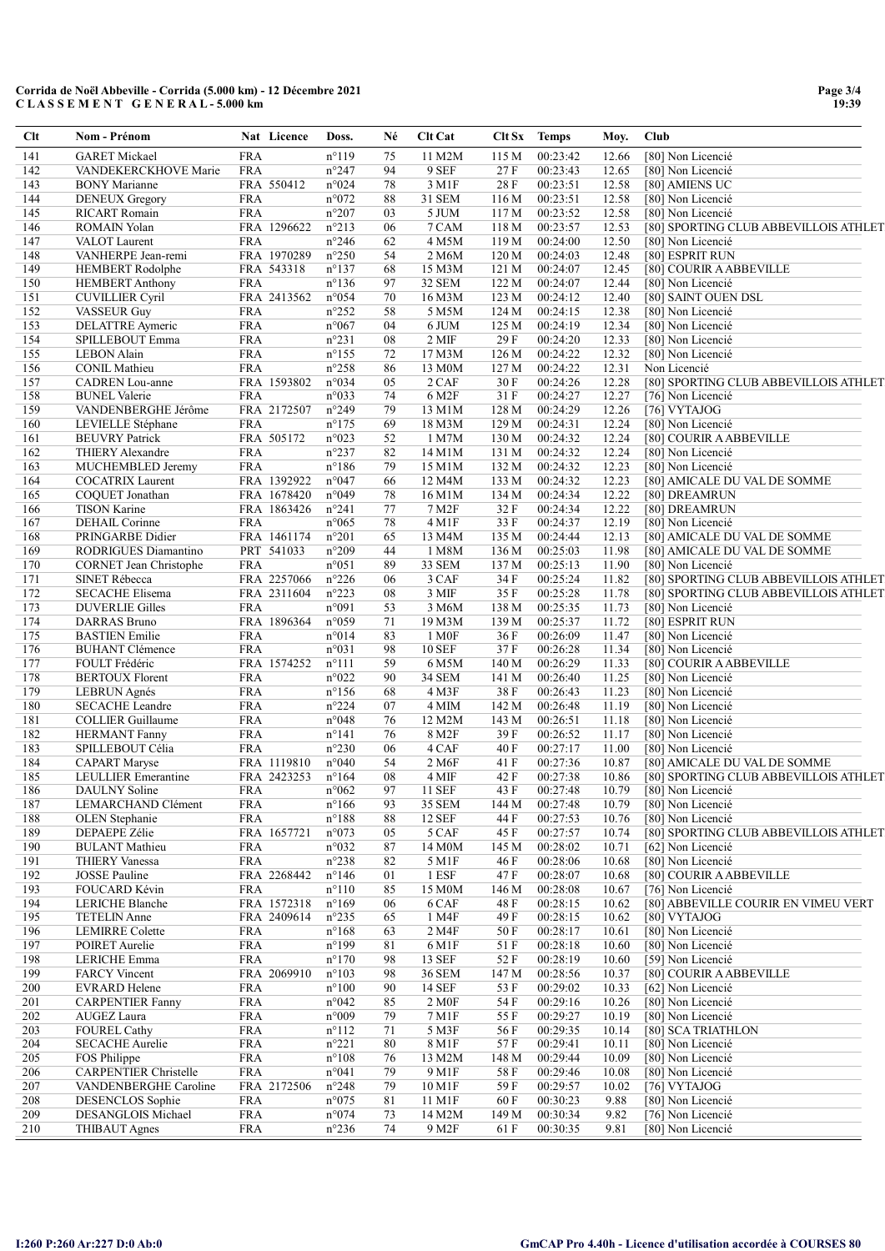| Clt        | Nom - Prénom                                  |                          | Nat Licence | Doss.                            | Né       | <b>Clt Cat</b>          |                | Clt Sx Temps         | Moy.           | Club                                         |
|------------|-----------------------------------------------|--------------------------|-------------|----------------------------------|----------|-------------------------|----------------|----------------------|----------------|----------------------------------------------|
| 141        | <b>GARET Mickael</b>                          | <b>FRA</b>               |             | $n^{\circ}119$                   | 75       | 11 M2M                  | 115 M          | 00:23:42             | 12.66          | [80] Non Licencié                            |
| 142        | VANDEKERCKHOVE Marie                          | <b>FRA</b>               |             | n°247                            | 94       | 9 SEF                   | 27 F           | 00:23:43             | 12.65          | [80] Non Licencié                            |
| 143        | <b>BONY</b> Marianne                          |                          | FRA 550412  | n°024                            | 78       | 3 M1F                   | 28 F           | 00:23:51             | 12.58          | [80] AMIENS UC                               |
| 144<br>145 | <b>DENEUX Gregory</b><br><b>RICART</b> Romain | <b>FRA</b><br><b>FRA</b> |             | n°072<br>$n^{\circ}207$          | 88<br>03 | 31 SEM<br>5 JUM         | 116 M<br>117 M | 00:23:51<br>00:23:52 | 12.58<br>12.58 | [80] Non Licencié<br>[80] Non Licencié       |
| 146        | <b>ROMAIN Yolan</b>                           |                          | FRA 1296622 | $n^{\circ}213$                   | 06       | 7 CAM                   | 118 M          | 00:23:57             | 12.53          | [80] SPORTING CLUB ABBEVILLOIS ATHLET        |
| 147        | VALOT Laurent                                 | <b>FRA</b>               |             | $n^{\circ}246$                   | 62       | 4 M5M                   | 119 M          | 00:24:00             | 12.50          | [80] Non Licencié                            |
| 148        | VANHERPE Jean-remi                            |                          | FRA 1970289 | $n^{\circ}250$                   | 54       | 2 M6M                   | 120 M          | 00:24:03             | 12.48          | [80] ESPRIT RUN                              |
| 149        | <b>HEMBERT</b> Rodolphe                       |                          | FRA 543318  | $n^{\circ}137$                   | 68       | 15 M3M                  | 121 M          | 00:24:07             | 12.45          | [80] COURIR A ABBEVILLE                      |
| 150        | <b>HEMBERT Anthony</b>                        | <b>FRA</b>               |             | $n^{\circ}136$                   | 97       | 32 SEM                  | 122 M          | 00:24:07             | 12.44          | [80] Non Licencié                            |
| 151        | <b>CUVILLIER Cyril</b>                        |                          | FRA 2413562 | n°054                            | 70       | 16 M3M                  | 123 M          | 00:24:12             | 12.40          | [80] SAINT OUEN DSL                          |
| 152        | <b>VASSEUR Guy</b>                            | <b>FRA</b>               |             | $n^{\circ}252$                   | 58       | 5 M5M                   | 124 M          | 00:24:15             | 12.38          | [80] Non Licencié                            |
| 153        | DELATTRE Aymeric                              | <b>FRA</b>               |             | n°067                            | 04       | 6 JUM                   | 125 M          | 00:24:19             | 12.34          | [80] Non Licencié                            |
| 154        | SPILLEBOUT Emma                               | <b>FRA</b>               |             | $n^{\circ}231$                   | 08       | 2 MIF                   | 29 F           | 00:24:20             | 12.33          | [80] Non Licencié                            |
| 155        | <b>LEBON</b> Alain                            | <b>FRA</b>               |             | $n^{\circ}155$                   | 72       | 17 M3M                  | 126 M          | 00:24:22             | 12.32          | [80] Non Licencié                            |
| 156        | <b>CONIL Mathieu</b>                          | <b>FRA</b>               |             | $n^{\circ}258$                   | 86       | 13 M0M                  | 127 M          | 00:24:22             | 12.31          | Non Licencié                                 |
| 157        | <b>CADREN</b> Lou-anne                        |                          | FRA 1593802 | n°034                            | 05       | 2 CAF                   | 30 F           | 00:24:26             | 12.28          | [80] SPORTING CLUB ABBEVILLOIS ATHLET        |
| 158<br>159 | <b>BUNEL Valerie</b>                          | <b>FRA</b>               |             | n°033                            | 74       | 6 M2F                   | 31 F           | 00:24:27             | 12.27          | [76] Non Licencié                            |
| 160        | VANDENBERGHE Jérôme                           | <b>FRA</b>               | FRA 2172507 | n°249<br>$n^{\circ}175$          | 79<br>69 | 13 M1M                  | 128 M<br>129 M | 00:24:29             | 12.26          | [76] VYTAJOG<br>[80] Non Licencié            |
| 161        | LEVIELLE Stéphane<br><b>BEUVRY Patrick</b>    |                          | FRA 505172  | n°023                            | 52       | 18 M3M<br>1 M7M         | 130 M          | 00:24:31<br>00:24:32 | 12.24<br>12.24 | [80] COURIR A ABBEVILLE                      |
| 162        | <b>THIERY Alexandre</b>                       | <b>FRA</b>               |             | n°237                            | 82       | 14 M1M                  | 131 M          | 00:24:32             | 12.24          | [80] Non Licencié                            |
| 163        | MUCHEMBLED Jeremy                             | <b>FRA</b>               |             | $n^{\circ}186$                   | 79       | 15 M1M                  | 132 M          | 00:24:32             | 12.23          | [80] Non Licencié                            |
| 164        | <b>COCATRIX</b> Laurent                       |                          | FRA 1392922 | n°047                            | 66       | 12 M4M                  | 133 M          | 00:24:32             | 12.23          | [80] AMICALE DU VAL DE SOMME                 |
| 165        | COQUET Jonathan                               |                          | FRA 1678420 | n°049                            | 78       | 16 M1M                  | 134 M          | 00:24:34             | 12.22          | [80] DREAMRUN                                |
| 166        | <b>TISON Karine</b>                           |                          | FRA 1863426 | $n^{\circ}241$                   | 77       | 7 M2F                   | 32F            | 00:24:34             | 12.22          | [80] DREAMRUN                                |
| 167        | DEHAIL Corinne                                | <b>FRA</b>               |             | $n^{\circ}065$                   | 78       | 4 M1F                   | 33 F           | 00:24:37             | 12.19          | [80] Non Licencié                            |
| 168        | PRINGARBE Didier                              |                          | FRA 1461174 | $n^{\circ}201$                   | 65       | 13 M4M                  | 135 M          | 00:24:44             | 12.13          | [80] AMICALE DU VAL DE SOMME                 |
| 169        | RODRIGUES Diamantino                          |                          | PRT 541033  | $n^{\circ}209$                   | 44       | 1 M8M                   | 136 M          | 00:25:03             | 11.98          | [80] AMICALE DU VAL DE SOMME                 |
| 170        | <b>CORNET Jean Christophe</b>                 | <b>FRA</b>               |             | n°051                            | 89       | 33 SEM                  | 137 M          | 00:25:13             | 11.90          | [80] Non Licencié                            |
| 171        | <b>SINET Rébecca</b>                          |                          | FRA 2257066 | $n^{\circ}226$                   | 06       | 3 CAF                   | 34 F           | 00:25:24             | 11.82          | [80] SPORTING CLUB ABBEVILLOIS ATHLET        |
| 172        | <b>SECACHE Elisema</b>                        |                          | FRA 2311604 | $n^{\circ}223$                   | 08       | 3 MIF                   | 35 F           | 00:25:28             | 11.78          | [80] SPORTING CLUB ABBEVILLOIS ATHLET        |
| 173        | <b>DUVERLIE Gilles</b>                        | <b>FRA</b>               |             | n°091                            | 53       | 3 M6M                   | 138 M          | 00:25:35             | 11.73          | [80] Non Licencié                            |
| 174        | DARRAS Bruno                                  |                          | FRA 1896364 | n°059                            | 71       | 19 M3M                  | 139 M          | 00:25:37             | 11.72          | [80] ESPRIT RUN                              |
| 175        | <b>BASTIEN Emilie</b>                         | <b>FRA</b>               |             | $n^{\circ}014$                   | 83       | 1 M <sub>OF</sub>       | 36 F           | 00:26:09             | 11.47          | [80] Non Licencié                            |
| 176        | <b>BUHANT Clémence</b>                        | <b>FRA</b>               |             | n°031                            | 98       | <b>10 SEF</b>           | 37 F           | 00:26:28             | 11.34          | [80] Non Licencié                            |
| 177        | FOULT Frédéric                                |                          | FRA 1574252 | $n^{\circ}111$                   | 59       | 6 M5M                   | 140 M          | 00:26:29             | 11.33          | [80] COURIR A ABBEVILLE                      |
| 178<br>179 | <b>BERTOUX Florent</b>                        | <b>FRA</b><br><b>FRA</b> |             | n°022<br>$n^{\circ}156$          | 90<br>68 | <b>34 SEM</b><br>4 M3F  | 141 M<br>38F   | 00:26:40             | 11.25<br>11.23 | [80] Non Licencié                            |
| 180        | <b>LEBRUN</b> Agnés<br><b>SECACHE</b> Leandre | <b>FRA</b>               |             | $n^{\circ}224$                   | 07       | 4 MIM                   | 142 M          | 00:26:43<br>00:26:48 | 11.19          | [80] Non Licencié<br>[80] Non Licencié       |
| 181        | <b>COLLIER</b> Guillaume                      | <b>FRA</b>               |             | n°048                            | 76       | 12 M2M                  | 143 M          | 00:26:51             | 11.18          | [80] Non Licencié                            |
| 182        | <b>HERMANT</b> Fanny                          | <b>FRA</b>               |             | $n^{\circ}141$                   | 76       | 8 M2F                   | 39F            | 00:26:52             | 11.17          | [80] Non Licencié                            |
| 183        | SPILLEBOUT Célia                              | <b>FRA</b>               |             | $n^{\circ}230$                   | 06       | 4 CAF                   | 40 F           | 00:27:17             | 11.00          | [80] Non Licencié                            |
| 184        | <b>CAPART</b> Maryse                          |                          | FRA 1119810 | n°040                            | 54       | 2 M <sub>6F</sub>       | 41 F           | 00:27:36             | 10.87          | [80] AMICALE DU VAL DE SOMME                 |
| 185        | LEULLIER Emerantine                           |                          | FRA 2423253 | $n^{\circ}164$                   | 08       | 4 MIF                   | 42 F           | 00:27:38             | 10.86          | [80] SPORTING CLUB ABBEVILLOIS ATHLET        |
| 186        | DAULNY Soline                                 | <b>FRA</b>               |             | $n^{\circ}062$                   | 97       | 11 SEF                  | 43 F           | 00:27:48             | 10.79          | [80] Non Licencié                            |
| 187        | LEMARCHAND Clément                            | <b>FRA</b>               |             | $n^{\circ}166$                   | 93       | <b>35 SEM</b>           | 144 M          | 00:27:48             | 10.79          | [80] Non Licencié                            |
| 188        | OLEN Stephanie                                | <b>FRA</b>               |             | $n^{\circ}188$                   | 88       | <b>12 SEF</b>           | 44 F           | 00:27:53             | 10.76          | [80] Non Licencié                            |
| 189        | DEPAEPE Zélie                                 |                          | FRA 1657721 | n°073                            | 05       | 5 CAF                   | 45 F           | 00:27:57             | 10.74          | [80] SPORTING CLUB ABBEVILLOIS ATHLET        |
| 190        | <b>BULANT</b> Mathieu                         | <b>FRA</b>               |             | n°032                            | 87       | 14 M0M                  | 145 M          | 00:28:02             | 10.71          | [62] Non Licencié                            |
| 191        | <b>THIERY Vanessa</b>                         | <b>FRA</b>               |             | $n^{\circ}238$                   | 82       | 5 M1F                   | 46 F           | 00:28:06             | 10.68          | [80] Non Licencié                            |
| 192        | JOSSE Pauline                                 |                          | FRA 2268442 | $n^{\circ}$ 146                  | 01       | 1 ESF                   | 47 F           | 00:28:07             | 10.68          | [80] COURIR A ABBEVILLE                      |
| 193        | FOUCARD Kévin                                 | <b>FRA</b>               |             | $n^{\circ}110$                   | 85       | 15 M0M                  | 146 M          | 00:28:08             | 10.67          | [76] Non Licencié                            |
| 194        | LERICHE Blanche                               |                          | FRA 1572318 | $n^{\circ}169$                   | 06       | 6 CAF                   | 48 F           | 00:28:15             | 10.62          | [80] ABBEVILLE COURIR EN VIMEU VERT          |
| 195        | <b>TETELIN</b> Anne                           |                          | FRA 2409614 | $n^{\circ}235$                   | 65       | 1 M4F                   | 49 F           | 00:28:15             | 10.62          | [80] VYTAJOG                                 |
| 196        | <b>LEMIRRE</b> Colette                        | <b>FRA</b>               |             | $n^{\circ}168$                   | 63       | 2 M4F                   | 50 F           | 00:28:17             | 10.61          | [80] Non Licencié                            |
| 197        | POIRET Aurelie                                | <b>FRA</b>               |             | $n^{\circ}199$                   | 81       | 6 M1F                   | 51 F           | 00:28:18             | 10.60          | [80] Non Licencié                            |
| 198<br>199 | LERICHE Emma<br><b>FARCY Vincent</b>          | <b>FRA</b>               | FRA 2069910 | $n^{\circ}170$<br>$n^{\circ}103$ | 98<br>98 | 13 SEF<br><b>36 SEM</b> | 52 F<br>147 M  | 00:28:19<br>00:28:56 | 10.60<br>10.37 | [59] Non Licencié<br>[80] COURIR A ABBEVILLE |
| 200        | <b>EVRARD Helene</b>                          | <b>FRA</b>               |             | $n^{\circ}100$                   | 90       | 14 SEF                  | 53 F           | 00:29:02             | 10.33          | [62] Non Licencié                            |
| 201        | <b>CARPENTIER Fanny</b>                       | <b>FRA</b>               |             | n°042                            | 85       | 2 M <sub>OF</sub>       | 54 F           | 00:29:16             | 10.26          | [80] Non Licencié                            |
| 202        | AUGEZ Laura                                   | <b>FRA</b>               |             | $n^{\circ}009$                   | 79       | 7 M1F                   | 55 F           | 00:29:27             | 10.19          | [80] Non Licencié                            |
| 203        | <b>FOUREL Cathy</b>                           | <b>FRA</b>               |             | $n^{\circ}112$                   | 71       | 5 M3F                   | 56 F           | 00:29:35             | 10.14          | [80] SCA TRIATHLON                           |
| 204        | <b>SECACHE</b> Aurelie                        | <b>FRA</b>               |             | $n^{\circ}221$                   | 80       | 8 M1F                   | 57 F           | 00:29:41             | 10.11          | [80] Non Licencié                            |
| 205        | FOS Philippe                                  | <b>FRA</b>               |             | $n^{\circ}108$                   | 76       | 13 M2M                  | 148 M          | 00:29:44             | 10.09          | [80] Non Licencié                            |
| 206        | <b>CARPENTIER Christelle</b>                  | <b>FRA</b>               |             | n°041                            | 79       | 9 M1F                   | 58 F           | 00:29:46             | 10.08          | [80] Non Licencié                            |
| 207        | VANDENBERGHE Caroline                         |                          | FRA 2172506 | $n^{\circ}248$                   | 79       | 10 M1F                  | 59 F           | 00:29:57             | 10.02          | [76] VYTAJOG                                 |
| 208        | <b>DESENCLOS</b> Sophie                       | <b>FRA</b>               |             | n°075                            | 81       | 11 M1F                  | 60 F           | 00:30:23             | 9.88           | [80] Non Licencié                            |
| 209        | DESANGLOIS Michael                            | <b>FRA</b>               |             | n°074                            | 73       | 14 M2M                  | 149 M          | 00:30:34             | 9.82           | [76] Non Licencié                            |
| 210        | <b>THIBAUT</b> Agnes                          | <b>FRA</b>               |             | $n^{\circ}236$                   | 74       | $9$ M <sub>2</sub> F    | 61 F           | 00:30:35             | 9.81           | [80] Non Licencié                            |